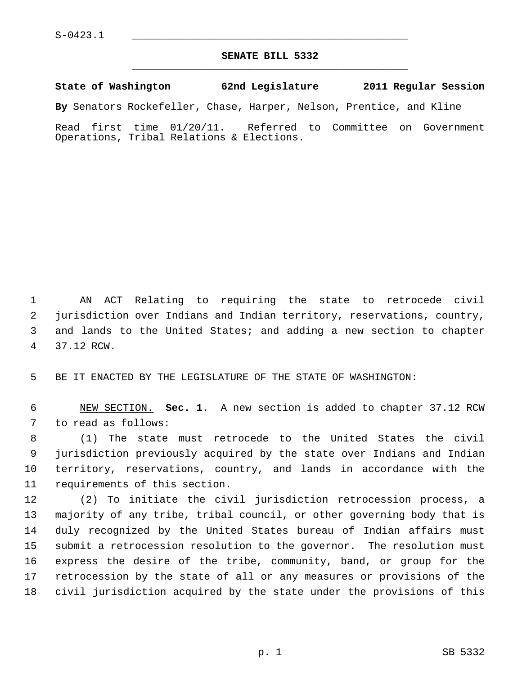## **SENATE BILL 5332** \_\_\_\_\_\_\_\_\_\_\_\_\_\_\_\_\_\_\_\_\_\_\_\_\_\_\_\_\_\_\_\_\_\_\_\_\_\_\_\_\_\_\_\_\_

## **State of Washington 62nd Legislature 2011 Regular Session**

**By** Senators Rockefeller, Chase, Harper, Nelson, Prentice, and Kline

Read first time 01/20/11. Referred to Committee on Government Operations, Tribal Relations & Elections.

 1 AN ACT Relating to requiring the state to retrocede civil 2 jurisdiction over Indians and Indian territory, reservations, country, 3 and lands to the United States; and adding a new section to chapter 4 37.12 RCW.

5 BE IT ENACTED BY THE LEGISLATURE OF THE STATE OF WASHINGTON:

 6 NEW SECTION. **Sec. 1.** A new section is added to chapter 37.12 RCW 7 to read as follows:

 8 (1) The state must retrocede to the United States the civil 9 jurisdiction previously acquired by the state over Indians and Indian 10 territory, reservations, country, and lands in accordance with the 11 requirements of this section.

12 (2) To initiate the civil jurisdiction retrocession process, a 13 majority of any tribe, tribal council, or other governing body that is 14 duly recognized by the United States bureau of Indian affairs must 15 submit a retrocession resolution to the governor. The resolution must 16 express the desire of the tribe, community, band, or group for the 17 retrocession by the state of all or any measures or provisions of the 18 civil jurisdiction acquired by the state under the provisions of this